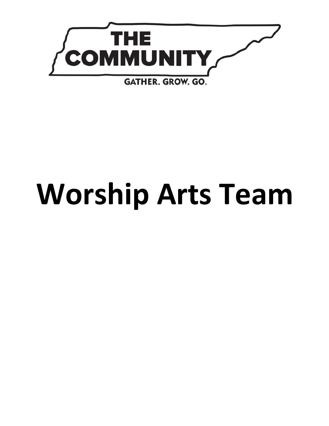

# **Worship Arts Team**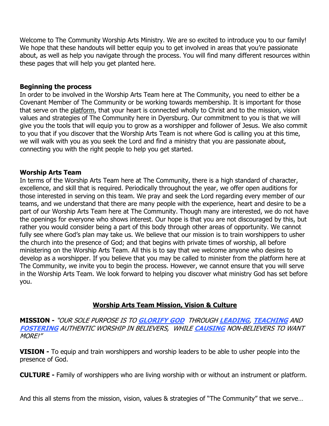Welcome to The Community Worship Arts Ministry. We are so excited to introduce you to our family! We hope that these handouts will better equip you to get involved in areas that you're passionate about, as well as help you navigate through the process. You will find many different resources within these pages that will help you get planted here.

## **Beginning the process**

In order to be involved in the Worship Arts Team here at The Community, you need to either be a Covenant Member of The Community or be working towards membership. It is important for those that serve on the platform, that your heart is connected wholly to Christ and to the mission, vision values and strategies of The Community here in Dyersburg. Our commitment to you is that we will give you the tools that will equip you to grow as a worshipper and follower of Jesus. We also commit to you that if you discover that the Worship Arts Team is not where God is calling you at this time, we will walk with you as you seek the Lord and find a ministry that you are passionate about, connecting you with the right people to help you get started.

# **Worship Arts Team**

In terms of the Worship Arts Team here at The Community, there is a high standard of character, excellence, and skill that is required. Periodically throughout the year, we offer open auditions for those interested in serving on this team. We pray and seek the Lord regarding every member of our teams, and we understand that there are many people with the experience, heart and desire to be a part of our Worship Arts Team here at The Community. Though many are interested, we do not have the openings for everyone who shows interest. Our hope is that you are not discouraged by this, but rather you would consider being a part of this body through other areas of opportunity. We cannot fully see where God's plan may take us. We believe that our mission is to train worshippers to usher the church into the presence of God; and that begins with private times of worship, all before ministering on the Worship Arts Team. All this is to say that we welcome anyone who desires to develop as a worshipper. If you believe that you may be called to minister from the platform here at The Community, we invite you to begin the process. However, we cannot ensure that you will serve in the Worship Arts Team. We look forward to helping you discover what ministry God has set before you.

## **Worship Arts Team Mission, Vision & Culture**

**MISSION -** "OUR SOLE PURPOSE IS TO **GLORIFY GOD** THROUGH **LEADING**, **TEACHING** AND **FOSTERING** AUTHENTIC WORSHIP IN BELIEVERS, WHILE **CAUSING** NON-BELIEVERS TO WANT MORE!"

**VISION -** To equip and train worshippers and worship leaders to be able to usher people into the presence of God.

**CULTURE -** Family of worshippers who are living worship with or without an instrument or platform.

And this all stems from the mission, vision, values & strategies of "The Community" that we serve…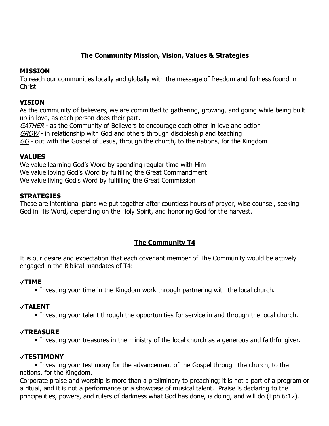# **The Community Mission, Vision, Values & Strategies**

# **MISSION**

To reach our communities locally and globally with the message of freedom and fullness found in Christ.

# **VISION**

As the community of believers, we are committed to gathering, growing, and going while being built up in love, as each person does their part.

GATHER - as the Community of Believers to encourage each other in love and action GROW - in relationship with God and others through discipleship and teaching GO - out with the Gospel of Jesus, through the church, to the nations, for the Kingdom

# **VALUES**

We value learning God's Word by spending regular time with Him We value loving God's Word by fulfilling the Great Commandment We value living God's Word by fulfilling the Great Commission

# **STRATEGIES**

These are intentional plans we put together after countless hours of prayer, wise counsel, seeking God in His Word, depending on the Holy Spirit, and honoring God for the harvest.

# **The Community T4**

It is our desire and expectation that each covenant member of The Community would be actively engaged in the Biblical mandates of T4:

# ✓**TIME**

• Investing your time in the Kingdom work through partnering with the local church.

# ✓**TALENT**

• Investing your talent through the opportunities for service in and through the local church.

# ✓**TREASURE**

• Investing your treasures in the ministry of the local church as a generous and faithful giver.

# ✓**TESTIMONY**

• Investing your testimony for the advancement of the Gospel through the church, to the nations, for the Kingdom.

Corporate praise and worship is more than a preliminary to preaching; it is not a part of a program or a ritual, and it is not a performance or a showcase of musical talent. Praise is declaring to the principalities, powers, and rulers of darkness what God has done, is doing, and will do (Eph 6:12).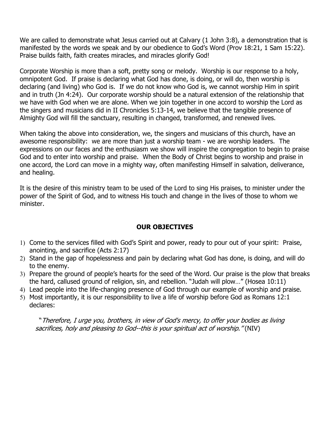We are called to demonstrate what Jesus carried out at Calvary (1 John 3:8), a demonstration that is manifested by the words we speak and by our obedience to God's Word (Prov 18:21, 1 Sam 15:22). Praise builds faith, faith creates miracles, and miracles glorify God!

Corporate Worship is more than a soft, pretty song or melody. Worship is our response to a holy, omnipotent God. If praise is declaring what God has done, is doing, or will do, then worship is declaring (and living) who God is. If we do not know who God is, we cannot worship Him in spirit and in truth (Jn 4:24). Our corporate worship should be a natural extension of the relationship that we have with God when we are alone. When we join together in one accord to worship the Lord as the singers and musicians did in II Chronicles 5:13-14, we believe that the tangible presence of Almighty God will fill the sanctuary, resulting in changed, transformed, and renewed lives.

When taking the above into consideration, we, the singers and musicians of this church, have an awesome responsibility: we are more than just a worship team - we are worship leaders. The expressions on our faces and the enthusiasm we show will inspire the congregation to begin to praise God and to enter into worship and praise. When the Body of Christ begins to worship and praise in one accord, the Lord can move in a mighty way, often manifesting Himself in salvation, deliverance, and healing.

It is the desire of this ministry team to be used of the Lord to sing His praises, to minister under the power of the Spirit of God, and to witness His touch and change in the lives of those to whom we minister.

## **OUR OBJECTIVES**

- 1) Come to the services filled with God's Spirit and power, ready to pour out of your spirit: Praise, anointing, and sacrifice (Acts 2:17)
- 2) Stand in the gap of hopelessness and pain by declaring what God has done, is doing, and will do to the enemy.
- 3) Prepare the ground of people's hearts for the seed of the Word. Our praise is the plow that breaks the hard, callused ground of religion, sin, and rebellion. "Judah will plow…" (Hosea 10:11)
- 4) Lead people into the life-changing presence of God through our example of worship and praise.
- 5) Most importantly, it is our responsibility to live a life of worship before God as Romans 12:1 declares:

"Therefore, I urge you, brothers, in view of God's mercy, to offer your bodies as living sacrifices, holy and pleasing to God--this is your spiritual act of worship." (NIV)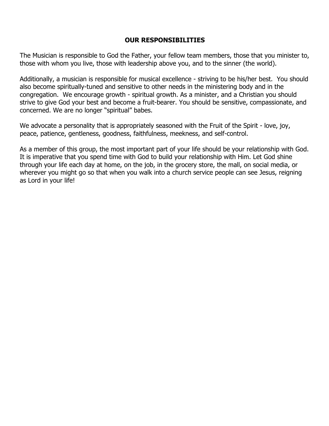## **OUR RESPONSIBILITIES**

The Musician is responsible to God the Father, your fellow team members, those that you minister to, those with whom you live, those with leadership above you, and to the sinner (the world).

Additionally, a musician is responsible for musical excellence - striving to be his/her best. You should also become spiritually-tuned and sensitive to other needs in the ministering body and in the congregation. We encourage growth - spiritual growth. As a minister, and a Christian you should strive to give God your best and become a fruit-bearer. You should be sensitive, compassionate, and concerned. We are no longer "spiritual" babes.

We advocate a personality that is appropriately seasoned with the Fruit of the Spirit - love, joy, peace, patience, gentleness, goodness, faithfulness, meekness, and self-control.

As a member of this group, the most important part of your life should be your relationship with God. It is imperative that you spend time with God to build your relationship with Him. Let God shine through your life each day at home, on the job, in the grocery store, the mall, on social media, or wherever you might go so that when you walk into a church service people can see Jesus, reigning as Lord in your life!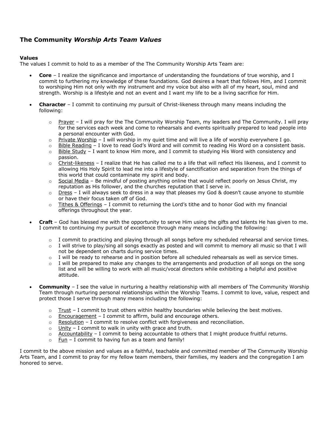## **The Community** *Worship Arts Team Values*

#### **Values**

The values I commit to hold to as a member of the The Community Worship Arts Team are:

- **Core** I realize the significance and importance of understanding the foundations of true worship, and I commit to furthering my knowledge of these foundations. God desires a heart that follows Him, and I commit to worshiping Him not only with my instrument and my voice but also with all of my heart, soul, mind and strength. Worship is a lifestyle and not an event and I want my life to be a living sacrifice for Him.
- **Character** I commit to continuing my pursuit of Christ-likeness through many means including the following:
	- $\circ$  Prayer I will pray for the The Community Worship Team, my leaders and The Community. I will pray for the services each week and come to rehearsals and events spiritually prepared to lead people into a personal encounter with God.
	- $\circ$  Private Worship I will worship in my quiet time and will live a life of worship everywhere I go.
	- o Bible Reading I love to read God's Word and will commit to reading His Word on a consistent basis.
	- $\circ$  Bible Study I want to know Him more, and I commit to studying His Word with consistency and passion.
	- $\circ$  Christ-likeness I realize that He has called me to a life that will reflect His likeness, and I commit to allowing His Holy Spirit to lead me into a lifestyle of sanctification and separation from the things of this world that could contaminate my spirit and body.
	- $\circ$  Social Media Be mindful of posting anything online that would reflect poorly on Jesus Christ, my reputation as His follower, and the churches reputation that I serve in.
	- $\circ$  Dress I will always seek to dress in a way that pleases my God & doesn't cause anyone to stumble or have their focus taken off of God.
	- $\circ$  Tithes & Offerings I commit to returning the Lord's tithe and to honor God with my financial offerings throughout the year.
- **Craft**  God has blessed me with the opportunity to serve Him using the gifts and talents He has given to me. I commit to continuing my pursuit of excellence through many means including the following:
	- $\circ$  I commit to practicing and playing through all songs before my scheduled rehearsal and service times.
	- o I will strive to play/sing all songs exactly as posted and will commit to memory all music so that I will not be dependent on charts during service times.
	- o I will be ready to rehearse and in position before all scheduled rehearsals as well as service times.
	- $\circ$  I will be prepared to make any changes to the arrangements and production of all songs on the song list and will be willing to work with all music/vocal directors while exhibiting a helpful and positive attitude.
- **Community** I see the value in nurturing a healthy relationship with all members of The Community Worship Team through nurturing personal relationships within the Worship Teams. I commit to love, value, respect and protect those I serve through many means including the following:
	- $\circ$  Trust I commit to trust others within healthy boundaries while believing the best motives.
	- $\circ$  Encouragement I commit to affirm, build and encourage others.
	- $\circ$  Resolution I commit to resolve conflict with forgiveness and reconciliation.
	- $\circ$  Unity I commit to walk in unity with grace and truth.
	- $\circ$  Accountability I commit to being accountable to others that I might produce fruitful returns.
	- $\circ$  Fun I commit to having fun as a team and family!

I commit to the above mission and values as a faithful, teachable and committed member of The Community Worship Arts Team, and I commit to pray for my fellow team members, their families, my leaders and the congregation I am honored to serve.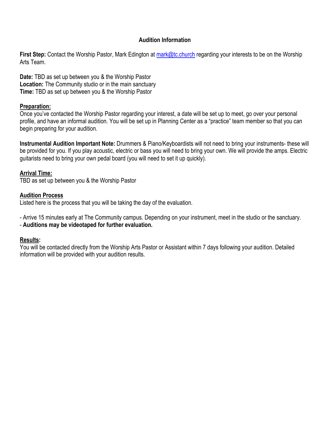## **Audition Information**

**First Step:** Contact the Worship Pastor, Mark Edington at mark@tc.church regarding your interests to be on the Worship Arts Team.

**Date:** TBD as set up between you & the Worship Pastor **Location:** The Community studio or in the main sanctuary **Time:** TBD as set up between you & the Worship Pastor

## **Preparation:**

Once you've contacted the Worship Pastor regarding your interest, a date will be set up to meet, go over your personal profile, and have an informal audition. You will be set up in Planning Center as a "practice" team member so that you can begin preparing for your audition.

**Instrumental Audition Important Note:** Drummers & Piano/Keyboardists will not need to bring your instruments- these will be provided for you. If you play acoustic, electric or bass you will need to bring your own. We will provide the amps. Electric guitarists need to bring your own pedal board (you will need to set it up quickly).

## **Arrival Time:**

TBD as set up between you & the Worship Pastor

## **Audition Process**

Listed here is the process that you will be taking the day of the evaluation.

- Arrive 15 minutes early at The Community campus. Depending on your instrument, meet in the studio or the sanctuary. - **Auditions may be videotaped for further evaluation.**

## **Results:**

You will be contacted directly from the Worship Arts Pastor or Assistant within 7 days following your audition. Detailed information will be provided with your audition results.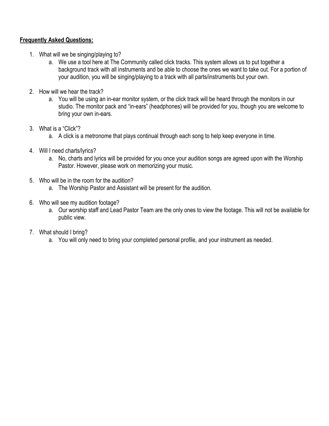## **Frequently Asked Questions:**

- 1. What will we be singing/playing to?
	- a. We use a tool here at The Community called click tracks. This system allows us to put together a background track with all instruments and be able to choose the ones we want to take out. For a portion of your audition, you will be singing/playing to a track with all parts/instruments but your own.
- 2. How will we hear the track?
	- a. You will be using an in-ear monitor system, or the click track will be heard through the monitors in our studio. The monitor pack and "in-ears" (headphones) will be provided for you, though you are welcome to bring your own in-ears.
- 3. What is a "Click"?
	- a. A click is a metronome that plays continual through each song to help keep everyone in time.
- 4. Will I need charts/lyrics?
	- a. No, charts and lyrics will be provided for you once your audition songs are agreed upon with the Worship Pastor. However, please work on memorizing your music.
- 5. Who will be in the room for the audition?
	- a. The Worship Pastor and Assistant will be present for the audition.
- 6. Who will see my audition footage?
	- a. Our worship staff and Lead Pastor Team are the only ones to view the footage. This will not be available for public view.
- 7. What should I bring?
	- a. You will only need to bring your completed personal profile, and your instrument as needed.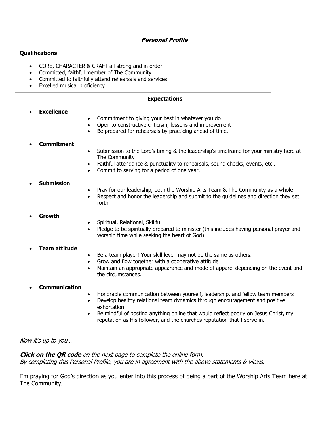#### **Qualifications**

- CORE, CHARACTER & CRAFT all strong and in order
- Committed, faithful member of The Community
- Committed to faithfully attend rehearsals and services
- Excelled musical proficiency

#### **Expectations**

#### • **Excellence**

- Commitment to giving your best in whatever you do
- Open to constructive criticism, lessons and improvement
- Be prepared for rehearsals by practicing ahead of time.

#### • **Commitment**

- Submission to the Lord's timing & the leadership's timeframe for your ministry here at The Community
- Faithful attendance & punctuality to rehearsals, sound checks, events, etc…
- Commit to serving for a period of one year.

#### • **Submission**

- Pray for our leadership, both the Worship Arts Team & The Community as a whole
- Respect and honor the leadership and submit to the guidelines and direction they set forth

#### • **Growth**

- Spiritual, Relational, Skillful
- Pledge to be spiritually prepared to minister (this includes having personal prayer and worship time while seeking the heart of God)

#### • **Team attitude**

- Be a team player! Your skill level may not be the same as others.
- Grow and flow together with a cooperative attitude
- Maintain an appropriate appearance and mode of apparel depending on the event and the circumstances.

#### • **Communication**

- Honorable communication between yourself, leadership, and fellow team members
- Develop healthy relational team dynamics through encouragement and positive exhortation
- Be mindful of posting anything online that would reflect poorly on Jesus Christ, my reputation as His follower, and the churches reputation that I serve in.

Now it's up to you…

#### **Click on the QR code** on the next page to complete the online form. By completing this Personal Profile, you are in agreement with the above statements & views.

I'm praying for God's direction as you enter into this process of being a part of the Worship Arts Team here at The Community.